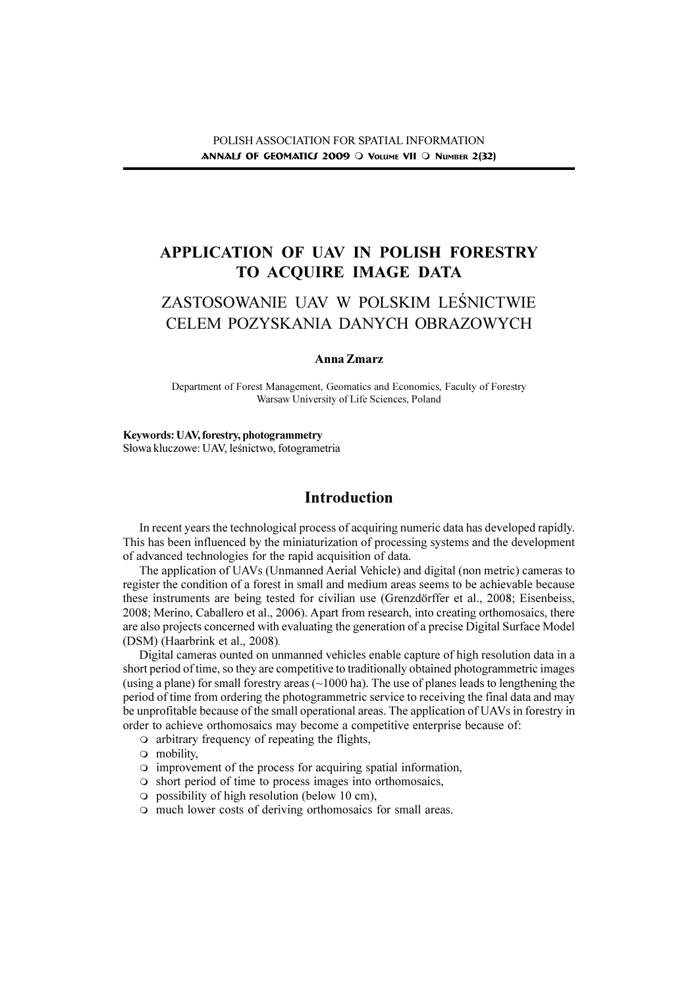## APPLICATION OF UAV IN POLISH FORESTRY TO ACQUIRE IMAGE DATA

# ZASTOSOWANIE UAV W POLSKIM LEŚNICTWIE CELEM POZYSKANIA DANYCH OBRAZOWYCH

#### Anna Zmarz

Department of Forest Management, Geomatics and Economics, Faculty of Forestry Warsaw University of Life Sciences, Poland

### Keywords: UAV, forestry, photogrammetry

Słowa kluczowe: UAV, leśnictwo, fotogrametria

## Introduction

In recent years the technological process of acquiring numeric data has developed rapidly. This has been influenced by the miniaturization of processing systems and the development of advanced technologies for the rapid acquisition of data.

The application of UAVs (Unmanned Aerial Vehicle) and digital (non metric) cameras to register the condition of a forest in small and medium areas seems to be achievable because these instruments are being tested for civilian use (Grenzdörffer et al., 2008; Eisenbeiss, 2008; Merino, Caballero et al., 2006). Apart from research, into creating orthomosaics, there are also projects concerned with evaluating the generation of a precise Digital Surface Model (DSM) (Haarbrink et al., 2008).

Digital cameras ounted on unmanned vehicles enable capture of high resolution data in a short period of time, so they are competitive to traditionally obtained photogrammetric images (using a plane) for small forestry areas  $(\sim 1000$  ha). The use of planes leads to lengthening the period of time from ordering the photogrammetric service to receiving the final data and may be unprofitable because of the small operational areas. The application of UAVs in forestry in order to achieve orthomosaics may become a competitive enterprise because of:

- $\circ$  arbitrary frequency of repeating the flights,
- $\circ$  mobility,
- $\circ$  improvement of the process for acquiring spatial information,
- $\circ$  short period of time to process images into orthomosaics,
- $\circ$  possibility of high resolution (below 10 cm),
- $\circ$  much lower costs of deriving orthomosaics for small areas.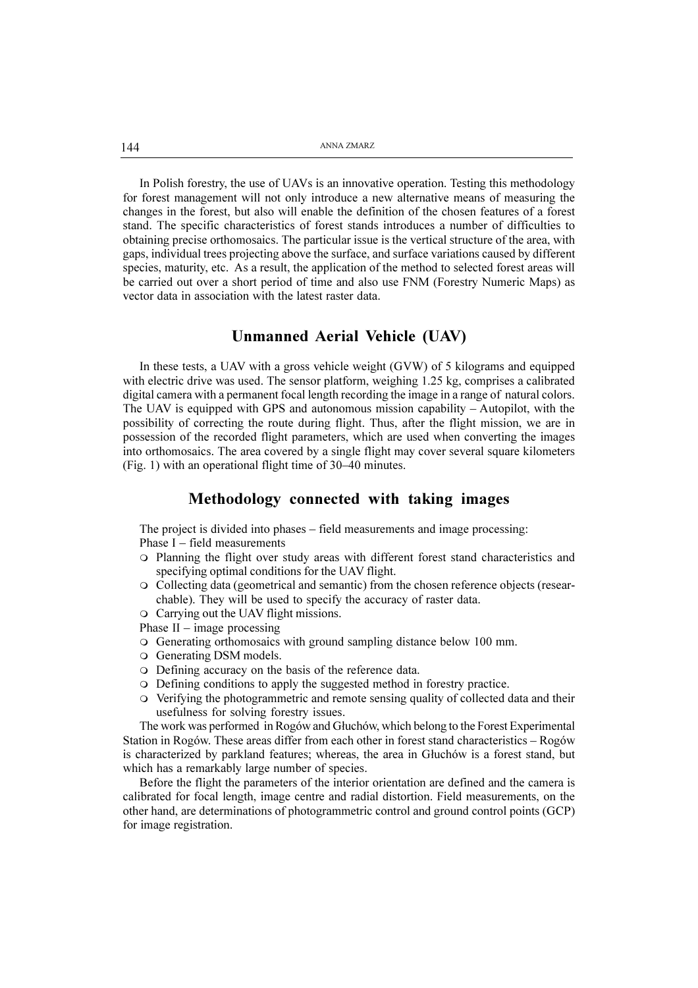In Polish forestry, the use of UAVs is an innovative operation. Testing this methodology for forest management will not only introduce a new alternative means of measuring the changes in the forest, but also will enable the definition of the chosen features of a forest stand. The specific characteristics of forest stands introduces a number of difficulties to obtaining precise orthomosaics. The particular issue is the vertical structure of the area, with gaps, individual trees projecting above the surface, and surface variations caused by different species, maturity, etc. As a result, the application of the method to selected forest areas will be carried out over a short period of time and also use FNM (Forestry Numeric Maps) as vector data in association with the latest raster data.

### Unmanned Aerial Vehicle (UAV)

In these tests, a UAV with a gross vehicle weight (GVW) of 5 kilograms and equipped with electric drive was used. The sensor platform, weighing 1.25 kg, comprises a calibrated digital camera with a permanent focal length recording the image in a range of natural colors. The UAV is equipped with GPS and autonomous mission capability  $-$  Autopilot, with the possibility of correcting the route during flight. Thus, after the flight mission, we are in possession of the recorded flight parameters, which are used when converting the images into orthomosaics. The area covered by a single flight may cover several square kilometers (Fig. 1) with an operational flight time of  $30-40$  minutes.

#### Methodology connected with taking images

The project is divided into phases – field measurements and image processing: Phase  $I$  – field measurements

- m Planning the flight over study areas with different forest stand characteristics and specifying optimal conditions for the UAV flight.
- $\circ$  Collecting data (geometrical and semantic) from the chosen reference objects (researchable). They will be used to specify the accuracy of raster data.
- $\circ$  Carrying out the UAV flight missions.
- Phase  $II$  image processing
- m Generating orthomosaics with ground sampling distance below 100 mm.
- $\circ$  Generating DSM models.
- $\circ$  Defining accuracy on the basis of the reference data.
- $\circ$  Defining conditions to apply the suggested method in forestry practice.
- m Verifying the photogrammetric and remote sensing quality of collected data and their usefulness for solving forestry issues.

The work was performed in Rogów and Głuchów, which belong to the Forest Experimental Station in Rogów. These areas differ from each other in forest stand characteristics  $-$  Rogów is characterized by parkland features; whereas, the area in Głuchów is a forest stand, but which has a remarkably large number of species.

Before the flight the parameters of the interior orientation are defined and the camera is calibrated for focal length, image centre and radial distortion. Field measurements, on the other hand, are determinations of photogrammetric control and ground control points (GCP) for image registration.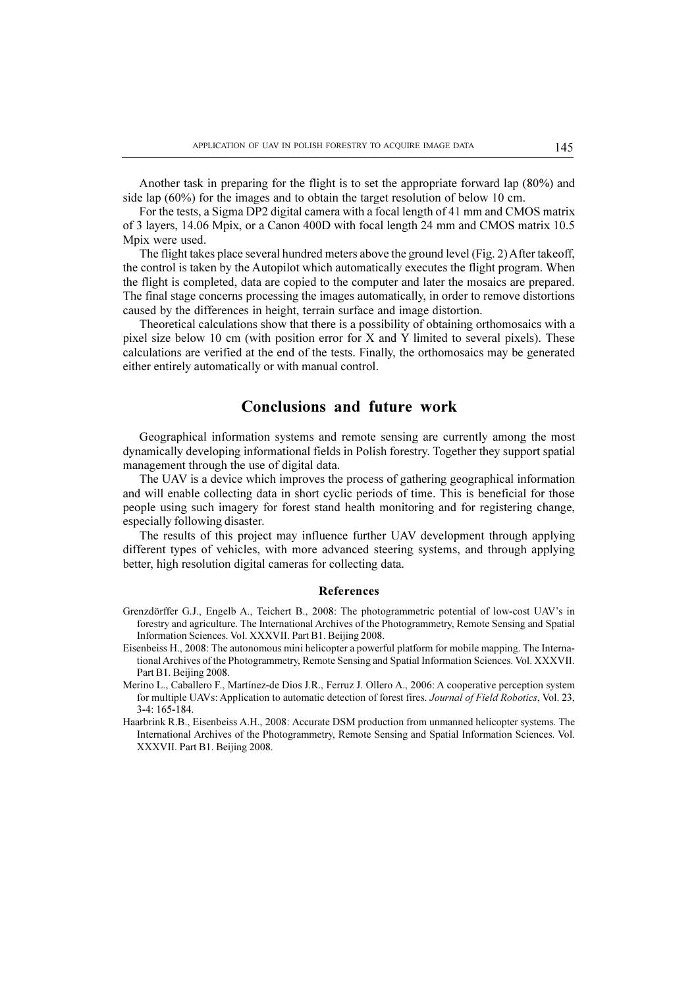Another task in preparing for the flight is to set the appropriate forward lap (80%) and side lap (60%) for the images and to obtain the target resolution of below 10 cm.

For the tests, a Sigma DP2 digital camera with a focal length of 41 mm and CMOS matrix of 3 layers, 14.06 Mpix, or a Canon 400D with focal length 24 mm and CMOS matrix 10.5 Mpix were used.

The flight takes place several hundred meters above the ground level (Fig. 2) After takeoff, the control is taken by the Autopilot which automatically executes the flight program. When the flight is completed, data are copied to the computer and later the mosaics are prepared. The final stage concerns processing the images automatically, in order to remove distortions caused by the differences in height, terrain surface and image distortion.

Theoretical calculations show that there is a possibility of obtaining orthomosaics with a pixel size below 10 cm (with position error for X and Y limited to several pixels). These calculations are verified at the end of the tests. Finally, the orthomosaics may be generated either entirely automatically or with manual control.

### Conclusions and future work

Geographical information systems and remote sensing are currently among the most dynamically developing informational fields in Polish forestry. Together they support spatial management through the use of digital data.

The UAV is a device which improves the process of gathering geographical information and will enable collecting data in short cyclic periods of time. This is beneficial for those people using such imagery for forest stand health monitoring and for registering change, especially following disaster.

The results of this project may influence further UAV development through applying different types of vehicles, with more advanced steering systems, and through applying better, high resolution digital cameras for collecting data.

#### References

- Grenzdörffer G.J., Engelb A., Teichert B., 2008: The photogrammetric potential of low-cost UAVs in forestry and agriculture. The International Archives of the Photogrammetry, Remote Sensing and Spatial Information Sciences. Vol. XXXVII. Part B1. Beijing 2008.
- Eisenbeiss H., 2008: The autonomous mini helicopter a powerful platform for mobile mapping. The International Archives of the Photogrammetry, Remote Sensing and Spatial Information Sciences. Vol. XXXVII. Part B1. Beijing 2008.
- Merino L., Caballero F., Martínez-de Dios J.R., Ferruz J. Ollero A., 2006: A cooperative perception system for multiple UAVs: Application to automatic detection of forest fires. Journal of Field Robotics, Vol. 23, 3-4: 165-184.
- Haarbrink R.B., Eisenbeiss A.H., 2008: Accurate DSM production from unmanned helicopter systems. The International Archives of the Photogrammetry, Remote Sensing and Spatial Information Sciences. Vol. XXXVII. Part B1. Beijing 2008.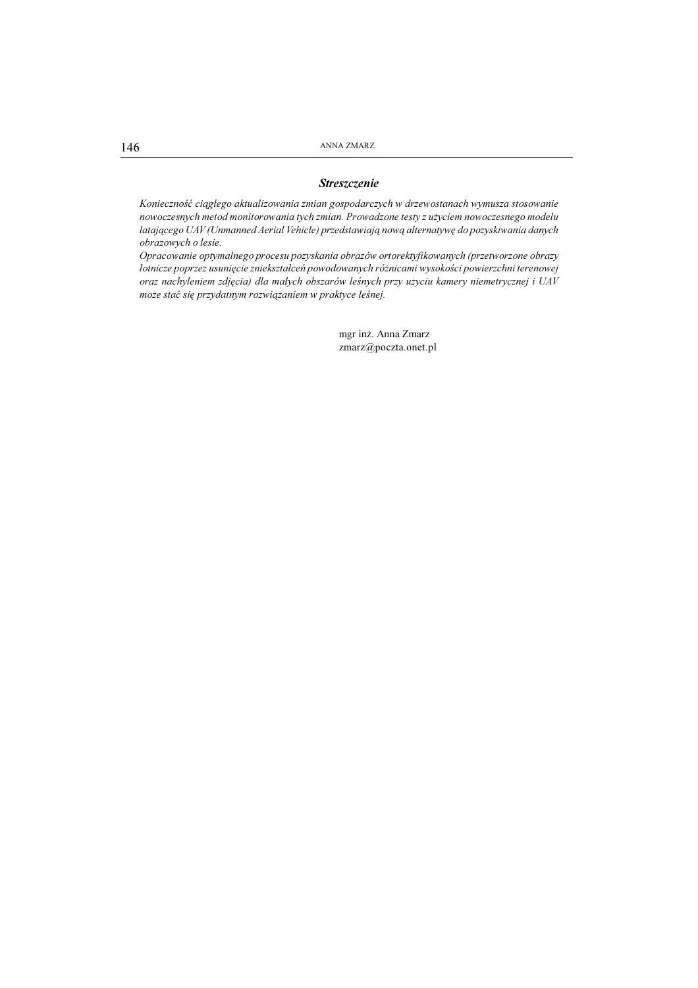146 ANNA ZMARZ

#### **Streszczenie**

Konieczność ciągłego aktualizowania zmian gospodarczych w drzewostanach wymusza stosowanie nowoczesnych metod monitorowania tych zmian. Prowadzone testy z użyciem nowoczesnego modelu latającego UAV (Unmanned Aerial Vehicle) przedstawiają nową alternatywę do pozyskiwania danych obrazowych o lesie.

Opracowanie optymalnego procesu pozyskania obrazów ortorektyfikowanych (przetworzone obrazy lotnicze poprzez usunięcie zniekształceń powodowanych różnicami wysokości powierzchni terenowej oraz nachyleniem zdjęcia) dla małych obszarów leśnych przy użyciu kamery niemetrycznej i UAV może stać się przydatnym rozwiązaniem w praktyce leśnej.

> mgr in¿. Anna Zmarz zmarz@poczta.onet.pl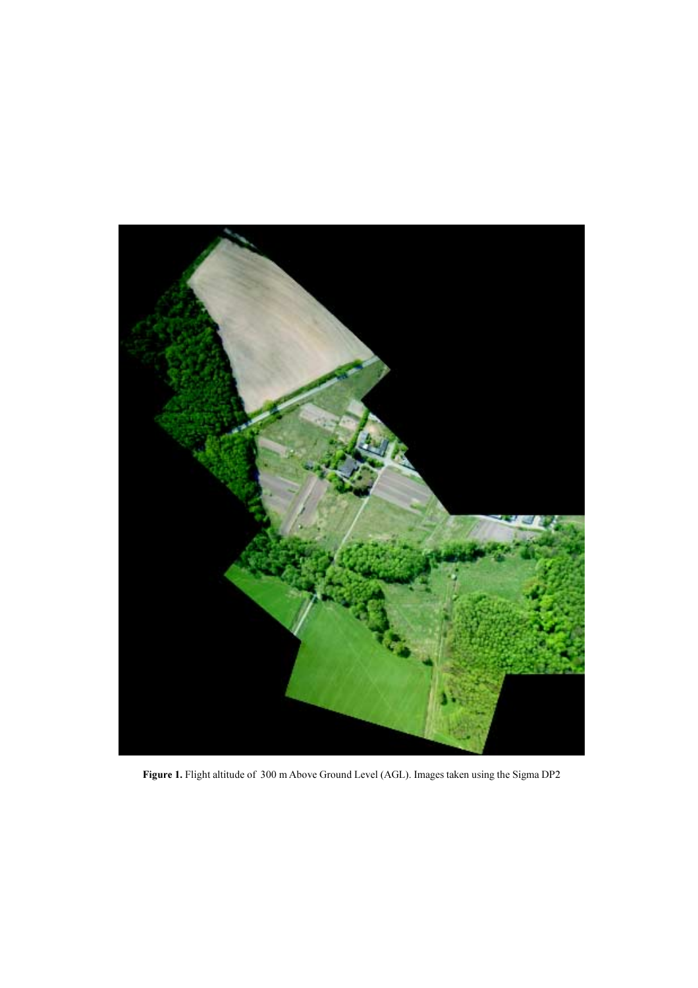

Figure 1. Flight altitude of 300 m Above Ground Level (AGL). Images taken using the Sigma DP2